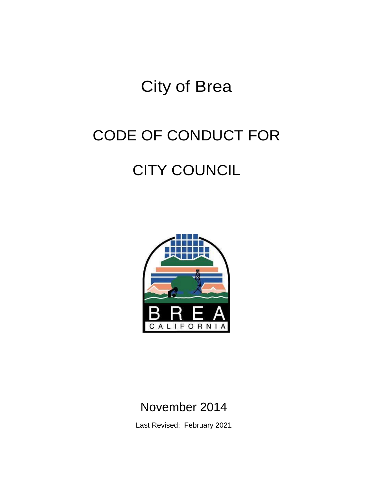## City of Brea

# CODE OF CONDUCT FOR

## CITY COUNCIL



### November 2014

Last Revised: February 2021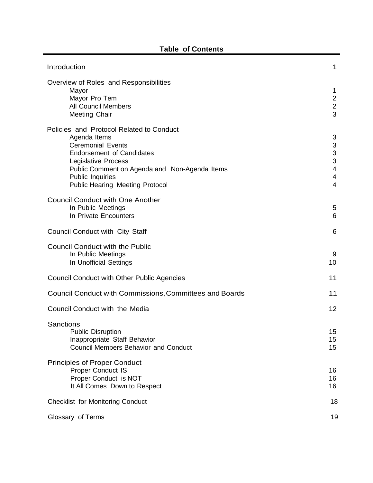| Introduction                                                                                                                                                                                                                                                          | 1                                                                                                                            |
|-----------------------------------------------------------------------------------------------------------------------------------------------------------------------------------------------------------------------------------------------------------------------|------------------------------------------------------------------------------------------------------------------------------|
| Overview of Roles and Responsibilities<br>Mayor<br>Mayor Pro Tem<br><b>All Council Members</b><br>Meeting Chair                                                                                                                                                       | 1<br>$\overline{c}$<br>$\sqrt{2}$<br>$\overline{3}$                                                                          |
| Policies and Protocol Related to Conduct<br>Agenda Items<br><b>Ceremonial Events</b><br><b>Endorsement of Candidates</b><br>Legislative Process<br>Public Comment on Agenda and Non-Agenda Items<br><b>Public Inquiries</b><br><b>Public Hearing Meeting Protocol</b> | 3<br>$\ensuremath{\mathsf{3}}$<br>$\mathsf 3$<br>$\mathbf{3}$<br>$\overline{\mathbf{4}}$<br>$\overline{4}$<br>$\overline{4}$ |
| <b>Council Conduct with One Another</b><br>In Public Meetings<br>In Private Encounters                                                                                                                                                                                | 5<br>6                                                                                                                       |
| <b>Council Conduct with City Staff</b>                                                                                                                                                                                                                                | 6                                                                                                                            |
| <b>Council Conduct with the Public</b><br>In Public Meetings<br>In Unofficial Settings                                                                                                                                                                                | 9<br>10                                                                                                                      |
| <b>Council Conduct with Other Public Agencies</b>                                                                                                                                                                                                                     | 11                                                                                                                           |
| Council Conduct with Commissions, Committees and Boards                                                                                                                                                                                                               | 11                                                                                                                           |
| Council Conduct with the Media                                                                                                                                                                                                                                        | 12                                                                                                                           |
| Sanctions<br><b>Public Disruption</b><br>Inappropriate Staff Behavior<br><b>Council Members Behavior and Conduct</b>                                                                                                                                                  | 15<br>15<br>15                                                                                                               |
| <b>Principles of Proper Conduct</b><br><b>Proper Conduct IS</b><br>Proper Conduct is NOT<br>It All Comes Down to Respect                                                                                                                                              | 16<br>16<br>16                                                                                                               |
| <b>Checklist for Monitoring Conduct</b>                                                                                                                                                                                                                               | 18                                                                                                                           |
| Glossary of Terms                                                                                                                                                                                                                                                     | 19                                                                                                                           |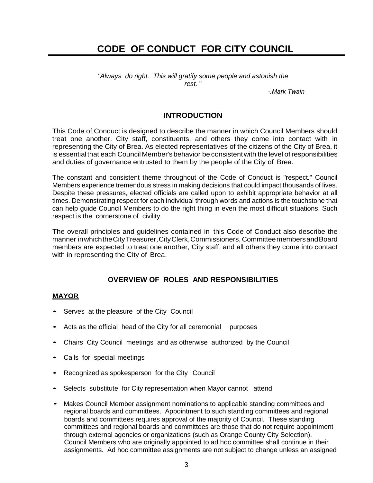### **CODE OF CONDUCT FOR CITY COUNCIL**

*"Always do right. This will gratify some people and astonish the rest.* "

*-.Mark Twain*

#### **INTRODUCTION**

<span id="page-2-0"></span>This Code of Conduct is designed to describe the manner in which Council Members should treat one another. City staff, constituents, and others they come into contact with in representing the City of Brea. As elected representatives of the citizens of the City of Brea, it is essential that each Council Member's behavior be consistent with the level of responsibilities and duties of governance entrusted to them by the people of the City of Brea.

The constant and consistent theme throughout of the Code of Conduct is "respect." Council Members experience tremendous stress in making decisions that could impact thousands of lives. Despite these pressures, elected officials are called upon to exhibit appropriate behavior at all times. Demonstrating respect for each individual through words and actions is the touchstone that can help guide Council Members to do the right thing in even the most difficult situations. Such respect is the cornerstone of civility.

The overall principles and guidelines contained in this Code of Conduct also describe the manner inwhichtheCityTreasurer,CityClerk,Commissioners, CommitteemembersandBoard members are expected to treat one another, City staff, and all others they come into contact with in representing the City of Brea.

#### **OVERVIEW OF ROLES AND RESPONSIBILITIES**

#### <span id="page-2-2"></span><span id="page-2-1"></span>**MAYOR**

- Serves at the pleasure of the City Council
- Acts as the official head of the City for all ceremonial purposes
- Chairs City Council meetings and as otherwise authorized by the Council
- Calls for special meetings
- Recognized as spokesperson for the City Council
- Selects substitute for City representation when Mayor cannot attend
- Makes Council Member assignment nominations to applicable standing committees and regional boards and committees. Appointment to such standing committees and regional boards and committees requires approval of the majority of Council. These standing committees and regional boards and committees are those that do not require appointment through external agencies or organizations (such as Orange County City Selection). Council Members who are originally appointed to ad hoc committee shall continue in their assignments. Ad hoc committee assignments are not subject to change unless an assigned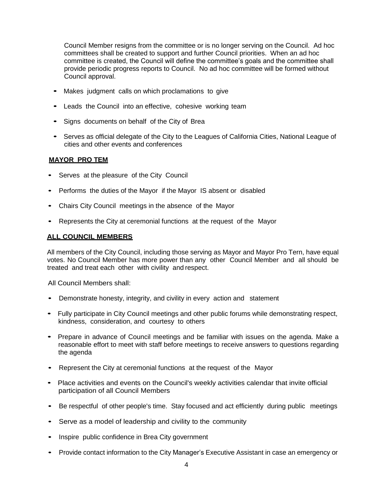Council Member resigns from the committee or is no longer serving on the Council. Ad hoc committees shall be created to support and further Council priorities. When an ad hoc committee is created, the Council will define the committee's goals and the committee shall provide periodic progress reports to Council. No ad hoc committee will be formed without Council approval.

- Makes judgment calls on which proclamations to give
- Leads the Council into an effective, cohesive working team
- Signs documents on behalf of the City of Brea
- Serves as official delegate of the City to the Leagues of California Cities, National League of cities and other events and conferences

#### <span id="page-3-0"></span>**MAYOR PRO TEM**

- Serves at the pleasure of the City Council
- Performs the duties of the Mayor if the Mayor IS absent or disabled
- Chairs City Council meetings in the absence of the Mayor
- Represents the City at ceremonial functions at the request of the Mayor

#### <span id="page-3-1"></span>**ALL COUNCIL MEMBERS**

All members of the City Council, including those serving as Mayor and Mayor Pro Tern, have equal votes. No Council Member has more power than any other Council Member and all should be treated and treat each other with civility and respect.

All Council Members shall:

- Demonstrate honesty, integrity, and civility in every action and statement
- Fully participate in City Council meetings and other public forums while demonstrating respect, kindness, consideration, and courtesy to others
- Prepare in advance of Council meetings and be familiar with issues on the agenda. Make a reasonable effort to meet with staff before meetings to receive answers to questions regarding the agenda
- Represent the City at ceremonial functions at the request of the Mayor
- Place activities and events on the Council's weekly activities calendar that invite official participation of all Council Members
- Be respectful of other people's time. Stay focused and act efficiently during public meetings
- Serve as a model of leadership and civility to the community
- Inspire public confidence in Brea City government
- Provide contact information to the City Manager's Executive Assistant in case an emergency or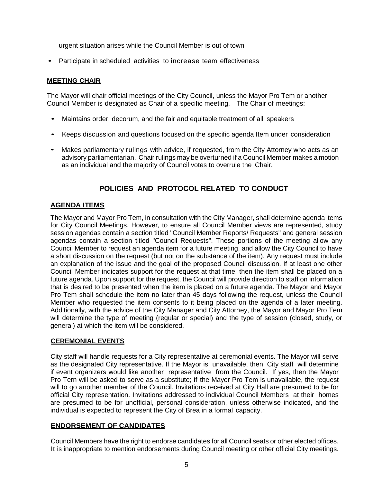urgent situation arises while the Council Member is out of town

• Participate in scheduled activities to increase team effectiveness

#### **MEETING CHAIR**

The Mayor will chair official meetings of the City Council, unless the Mayor Pro Tem or another Council Member is designated as Chair of a specific meeting. The Chair of meetings:

- Maintains order, decorum, and the fair and equitable treatment of all speakers
- Keeps discussion and questions focused on the specific agenda Item under consideration
- Makes parliamentary rulings with advice, if requested, from the City Attorney who acts as an advisory parliamentarian. Chair rulings may be overturned if a Council Member makes a motion as an individual and the majority of Council votes to overrule the Chair.

#### **POLICIES AND PROTOCOL RELATED TO CONDUCT**

#### <span id="page-4-1"></span><span id="page-4-0"></span>**AGENDA ITEMS**

The Mayor and Mayor Pro Tem, in consultation with the City Manager, shall determine agenda items for City Council Meetings. However, to ensure all Council Member views are represented, study session agendas contain a section titled "Council Member Reports/ Requests" and general session agendas contain a section titled "Council Requests". These portions of the meeting allow any Council Member to request an agenda item for a future meeting, and allow the City Council to have a short discussion on the request (but not on the substance of the item). Any request must include an explanation of the issue and the goal of the proposed Council discussion. If at least one other Council Member indicates support for the request at that time, then the item shall be placed on a future agenda. Upon support for the request, the Council will provide direction to staff on information that is desired to be presented when the item is placed on a future agenda. The Mayor and Mayor Pro Tem shall schedule the item no later than 45 days following the request, unless the Council Member who requested the item consents to it being placed on the agenda of a later meeting. Additionally, with the advice of the City Manager and City Attorney, the Mayor and Mayor Pro Tem will determine the type of meeting (regular or special) and the type of session (closed, study, or general) at which the item will be considered.

#### <span id="page-4-2"></span>**CEREMONIAL EVENTS**

City staff will handle requests for a City representative at ceremonial events. The Mayor will serve as the designated City representative. If the Mayor is unavailable, then City staff will determine if event organizers would like another representative from the Council. If yes, then the Mayor Pro Tern will be asked to serve as a substitute; if the Mayor Pro Tem is unavailable, the request will to go another member of the Council. Invitations received at City Hall are presumed to be for official City representation. Invitations addressed to individual Council Members at their homes are presumed to be for unofficial, personal consideration, unless otherwise indicated, and the individual is expected to represent the City of Brea in a formal capacity.

#### <span id="page-4-3"></span>**ENDORSEMENT OF CANDIDATES**

Council Members have the right to endorse candidates for all Council seats or other elected offices. It is inappropriate to mention endorsements during Council meeting or other official City meetings.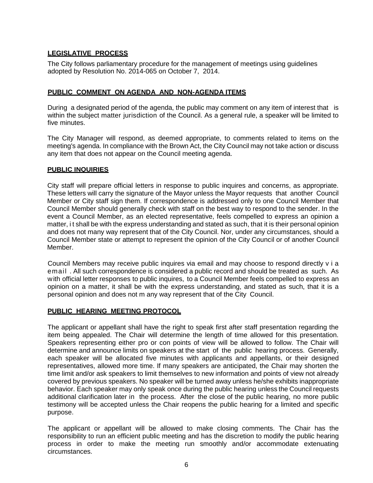#### <span id="page-5-0"></span>**LEGISLATIVE PROCESS**

The City follows parliamentary procedure for the management of meetings using guidelines adopted by Resolution No. 2014-065 on October 7, 2014.

#### <span id="page-5-1"></span>**PUBLIC COMMENT ON AGENDA AND NON-AGENDA ITEMS**

During a designated period of the agenda, the public may comment on any item of interest that is within the subject matter jurisdiction of the Council. As a general rule, a speaker will be limited to five minutes.

The City Manager will respond, as deemed appropriate, to comments related to items on the meeting's agenda. In compliance with the Brown Act, the City Council may not take action or discuss any item that does not appear on the Council meeting agenda.

#### **PUBLIC INQUIRIES**

City staff will prepare official letters in response to public inquires and concerns, as appropriate. These letters will carry the signature of the Mayor unless the Mayor requests that another Council Member or City staff sign them. If correspondence is addressed only to one Council Member that Council Member should generally check with staff on the best way to respond to the sender. In the event a Council Member, as an elected representative, feels compelled to express an opinion a matter, i t shall be with the express understanding and stated as such, that it is their personal opinion and does not many way represent that of the City Council. Nor, under any circumstances, should a Council Member state or attempt to represent the opinion of the City Council or of another Council Member.

Council Members may receive public inquires via email and may choose to respond directly v i a email . All such correspondence is considered a public record and should be treated as such. As with official letter responses to public inquires, to a Council Member feels compelled to express an opinion on a matter, it shall be with the express understanding, and stated as such, that it is a personal opinion and does not m any way represent that of the City Council.

#### **PUBLIC HEARING MEETING PROTOCOL**

The applicant or appellant shall have the right to speak first after staff presentation regarding the item being appealed. The Chair will determine the length of time allowed for this presentation. Speakers representing either pro or con points of view will be allowed to follow. The Chair will determine and announce limits on speakers at the start of the public hearing process. Generally, each speaker will be allocated five minutes with applicants and appellants, or their designed representatives, allowed more time. If many speakers are anticipated, the Chair may shorten the time limit and/or ask speakers to limit themselves to new information and points of view not already covered by previous speakers. No speaker will be turned away unless he/she exhibits inappropriate behavior. Each speaker may only speak once during the public hearing unless the Council requests additional clarification later in the process. After the close of the public hearing, no more public testimony will be accepted unless the Chair reopens the public hearing for a limited and specific purpose.

The applicant or appellant will be allowed to make closing comments. The Chair has the responsibility to run an efficient public meeting and has the discretion to modify the public hearing process in order to make the meeting run smoothly and/or accommodate extenuating circumstances.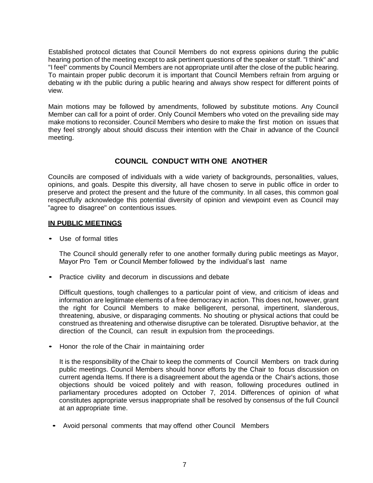Established protocol dictates that Council Members do not express opinions during the public hearing portion of the meeting except to ask pertinent questions of the speaker or staff. "I think" and "I feel" comments by Council Members are not appropriate until after the close of the public hearing. To maintain proper public decorum it is important that Council Members refrain from arguing or debating w ith the public during a public hearing and always show respect for different points of view.

Main motions may be followed by amendments, followed by substitute motions. Any Council Member can call for a point of order. Only Council Members who voted on the prevailing side may make motions to reconsider. Council Members who desire to make the first motion on issues that they feel strongly about should discuss their intention with the Chair in advance of the Council meeting.

#### **COUNCIL CONDUCT WITH ONE ANOTHER**

<span id="page-6-0"></span>Councils are composed of individuals with a wide variety of backgrounds, personalities, values, opinions, and goals. Despite this diversity, all have chosen to serve in public office in order to preserve and protect the present and the future of the community. In all cases, this common goal respectfully acknowledge this potential diversity of opinion and viewpoint even as Council may "agree to disagree" on contentious issues.

#### <span id="page-6-1"></span>**IN PUBLIC MEETINGS**

• Use of formal titles

The Council should generally refer to one another formally during public meetings as Mayor, Mayor Pro Tem or Council Member followed by the individual's last name

• Practice civility and decorum in discussions and debate

Difficult questions, tough challenges to a particular point of view, and criticism of ideas and information are legitimate elements of a free democracy in action. This does not, however, grant the right for Council Members to make belligerent, personal, impertinent, slanderous, threatening, abusive, or disparaging comments. No shouting or physical actions that could be construed as threatening and otherwise disruptive can be tolerated. Disruptive behavior, at the direction of the Council, can result in expulsion from the proceedings.

• Honor the role of the Chair in maintaining order

It is the responsibility of the Chair to keep the comments of Council Members on track during public meetings. Council Members should honor efforts by the Chair to focus discussion on current agenda Items. If there is a disagreement about the agenda or the Chair's actions, those objections should be voiced politely and with reason, following procedures outlined in parliamentary procedures adopted on October 7, 2014. Differences of opinion of what constitutes appropriate versus inappropriate shall be resolved by consensus of the full Council at an appropriate time.

• Avoid personal comments that may offend other Council Members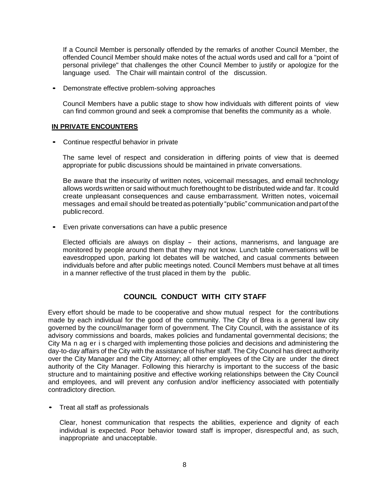If a Council Member is personally offended by the remarks of another Council Member, the offended Council Member should make notes of the actual words used and call for a "point of personal privilege" that challenges the other Council Member to justify or apologize for the language used. The Chair will maintain control of the discussion.

• Demonstrate effective problem-solving approaches

Council Members have a public stage to show how individuals with different points of view can find common ground and seek a compromise that benefits the community as a whole.

#### <span id="page-7-0"></span>**IN PRIVATE ENCOUNTERS**

• Continue respectful behavior in private

The same level of respect and consideration in differing points of view that is deemed appropriate for public discussions should be maintained in private conversations.

Be aware that the insecurity of written notes, voicemail messages, and email technology allows wordswritten or said without much forethought to be distributed wide and far. It could create unpleasant consequences and cause embarrassment. Written notes, voicemail messages and email should betreatedas potentially "public"communicationand partof the publicrecord.

• Even private conversations can have a public presence

Elected officials are always on display - their actions, mannerisms, and language are monitored by people around them that they may not know. Lunch table conversations will be eavesdropped upon, parking lot debates will be watched, and casual comments between individuals before and after public meetings noted. Council Members must behave at all times in a manner reflective of the trust placed in them by the public.

#### **COUNCIL CONDUCT WITH CITY STAFF**

<span id="page-7-1"></span>Every effort should be made to be cooperative and show mutual respect for the contributions made by each individual for the good of the community. The City of Brea is a general law city governed by the council/manager form of government. The City Council, with the assistance of its advisory commissions and boards, makes policies and fundamental governmental decisions; the City Ma n ag er i s charged with implementing those policies and decisions and administering the day-to-day affairs of the City with the assistance of his/her staff. The City Council has direct authority over the City Manager and the City Attorney; all other employees of the City are under the direct authority of the City Manager. Following this hierarchy is important to the success of the basic structure and to maintaining positive and effective working relationships between the City Council and employees, and will prevent any confusion and/or inefficiency associated with potentially contradictory direction.

• Treat all staff as professionals

Clear, honest communication that respects the abilities, experience and dignity of each individual is expected. Poor behavior toward staff is improper, disrespectful and, as such, inappropriate and unacceptable.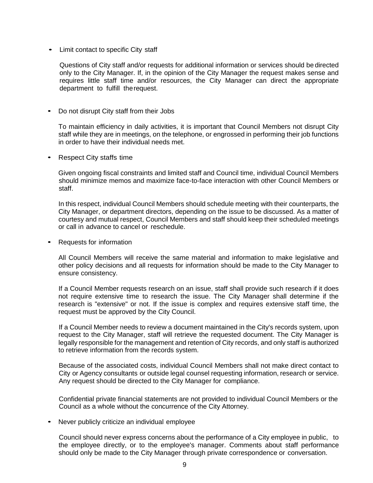• Limit contact to specific City staff

Questions of City staff and/or requests for additional information or services should be directed only to the City Manager. If, in the opinion of the City Manager the request makes sense and requires little staff time and/or resources, the City Manager can direct the appropriate department to fulfill therequest.

• Do not disrupt City staff from their Jobs

To maintain efficiency in daily activities, it is important that Council Members not disrupt City staff while they are in meetings, on the telephone, or engrossed in performing their job functions in order to have their individual needs met.

• Respect City staffs time

Given ongoing fiscal constraints and limited staff and Council time, individual Council Members should minimize memos and maximize face-to-face interaction with other Council Members or staff.

In this respect, individual Council Members should schedule meeting with their counterparts, the City Manager, or department directors, depending on the issue to be discussed. As a matter of courtesy and mutual respect, Council Members and staff should keep their scheduled meetings or call in advance to cancel or reschedule.

• Requests for information

All Council Members will receive the same material and information to make legislative and other policy decisions and all requests for information should be made to the City Manager to ensure consistency.

If a Council Member requests research on an issue, staff shall provide such research if it does not require extensive time to research the issue. The City Manager shall determine if the research is "extensive" or not. If the issue is complex and requires extensive staff time, the request must be approved by the City Council.

If a Council Member needs to review a document maintained in the City's records system, upon request to the City Manager, staff will retrieve the requested document. The City Manager is legally responsible for the management and retention of City records, and only staff is authorized to retrieve information from the records system.

Because of the associated costs, individual Council Members shall not make direct contact to City or Agency consultants or outside legal counsel requesting information, research or service. Any request should be directed to the City Manager for compliance.

Confidential private financial statements are not provided to individual Council Members or the Council as a whole without the concurrence of the City Attorney.

• Never publicly criticize an individual employee

Council should never express concerns about the performance of a City employee in public, to the employee directly, or to the employee's manager. Comments about staff performance should only be made to the City Manager through private correspondence or conversation.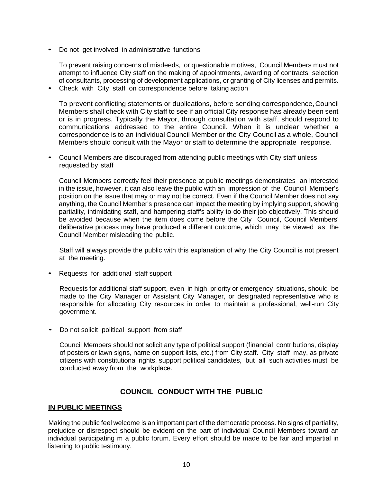Do not get involved in administrative functions

To prevent raising concerns of misdeeds, or questionable motives, Council Members must not attempt to influence City staff on the making of appointments, awarding of contracts, selection of consultants, processing of development applications, or granting of City licenses and permits.

• Check with City staff on correspondence before taking action

To prevent conflicting statements or duplications, before sending correspondence,Council Members shall check with City staff to see if an official City response has already been sent or is in progress. Typically the Mayor, through consultation with staff, should respond to communications addressed to the entire Council. When it is unclear whether a correspondence is to an individual Council Member or the City Council as a whole, Council Members should consult with the Mayor or staff to determine the appropriate response.

• Council Members are discouraged from attending public meetings with City staff unless requested by staff

Council Members correctly feel their presence at public meetings demonstrates an interested in the issue, however, it can also leave the public with an impression of the Council Member's position on the issue that may or may not be correct. Even if the Council Member does not say anything, the Council Member's presence can impact the meeting by implying support, showing partiality, intimidating staff, and hampering staff's ability to do their job objectively. This should be avoided because when the item does come before the City Council, Council Members' deliberative process may have produced a different outcome, which may be viewed as the Council Member misleading the public.

Staff will always provide the public with this explanation of why the City Council is not present at the meeting.

• Requests for additional staff support

Requests for additional staff support, even in high priority or emergency situations, should be made to the City Manager or Assistant City Manager, or designated representative who is responsible for allocating City resources in order to maintain a professional, well-run City government.

• Do not solicit political support from staff

Council Members should not solicit any type of political support (financial contributions, display of posters or lawn signs, name on support lists, etc.) from City staff. City staff may, as private citizens with constitutional rights, support political candidates, but all such activities must be conducted away from the workplace.

#### **COUNCIL CONDUCT WITH THE PUBLIC**

#### <span id="page-9-1"></span><span id="page-9-0"></span>**IN PUBLIC MEETINGS**

Making the public feel welcome is an important part of the democratic process. No signs of partiality, prejudice or disrespect should be evident on the part of individual Council Members toward an individual participating m a public forum. Every effort should be made to be fair and impartial in listening to public testimony.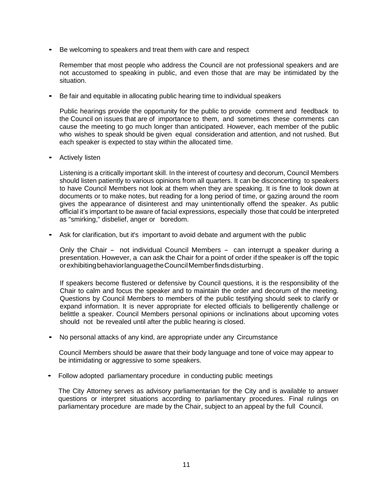Be welcoming to speakers and treat them with care and respect

Remember that most people who address the Council are not professional speakers and are not accustomed to speaking in public, and even those that are may be intimidated by the situation.

• Be fair and equitable in allocating public hearing time to individual speakers

Public hearings provide the opportunity for the public to provide comment and feedback to the Council on issues that are of importance to them, and sometimes these comments can cause the meeting to go much longer than anticipated. However, each member of the public who wishes to speak should be given equal consideration and attention, and not rushed. But each speaker is expected to stay within the allocated time.

• Actively listen

Listening is a critically important skill. In the interest of courtesy and decorum, Council Members should listen patiently to various opinions from all quarters. It can be disconcerting to speakers to have Council Members not look at them when they are speaking. It is fine to look down at documents or to make notes, but reading for a long period of time, or gazing around the room gives the appearance of disinterest and may unintentionally offend the speaker. As public official it's important to be aware of facial expressions, especially those that could be interpreted as "smirking," disbelief, anger or boredom.

Ask for clarification, but it's important to avoid debate and argument with the public

Only the Chair - not individual Council Members - can interrupt a speaker during a presentation. However, a can ask the Chair for a point of order if the speaker is off the topic orexhibitingbehaviorlanguagetheCouncilMemberfindsdisturbing.

If speakers become flustered or defensive by Council questions, it is the responsibility of the Chair to calm and focus the speaker and to maintain the order and decorum of the meeting. Questions by Council Members to members of the public testifying should seek to clarify or expand information. It is never appropriate for elected officials to belligerently challenge or belittle a speaker. Council Members personal opinions or inclinations about upcoming votes should not be revealed until after the public hearing is closed.

• No personal attacks of any kind, are appropriate under any Circumstance

Council Members should be aware that their body language and tone of voice may appear to be intimidating or aggressive to some speakers.

• Follow adopted parliamentary procedure in conducting public meetings

The City Attorney serves as advisory parliamentarian for the City and is available to answer questions or interpret situations according to parliamentary procedures. Final rulings on parliamentary procedure are made by the Chair, subject to an appeal by the full Council.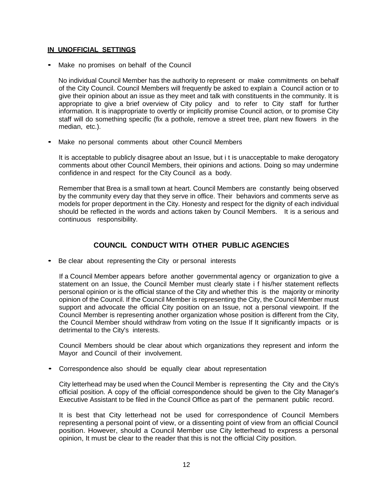#### <span id="page-11-0"></span>**IN UNOFFICIAL SETTINGS**

• Make no promises on behalf of the Council

No individual Council Member has the authority to represent or make commitments on behalf of the City Council. Council Members will frequently be asked to explain a Council action or to give their opinion about an issue as they meet and talk with constituents in the community. It is appropriate to give a brief overview of City policy and to refer to City staff for further information. It is inappropriate to overtly or implicitly promise Council action, or to promise City staff will do something specific (fix a pothole, remove a street tree, plant new flowers in the median, etc.).

Make no personal comments about other Council Members

It is acceptable to publicly disagree about an Issue, but i t is unacceptable to make derogatory comments about other Council Members, their opinions and actions. Doing so may undermine confidence in and respect for the City Council as a body.

Remember that Brea is a small town at heart. Council Members are constantly being observed by the community every day that they serve in office. Their behaviors and comments serve as models for proper deportment in the City. Honesty and respect for the dignity of each individual should be reflected in the words and actions taken by Council Members. It is a serious and continuous responsibility.

#### **COUNCIL CONDUCT WITH OTHER PUBLIC AGENCIES**

<span id="page-11-1"></span>Be clear about representing the City or personal interests

If a Council Member appears before another governmental agency or organization to give a statement on an Issue, the Council Member must clearly state i f his/her statement reflects personal opinion or is the official stance of the City and whether this is the majority or minority opinion of the Council. If the Council Member is representing the City, the Council Member must support and advocate the official City position on an Issue, not a personal viewpoint. If the Council Member is representing another organization whose position is different from the City, the Council Member should withdraw from voting on the Issue If It significantly impacts or is detrimental to the City's interests.

Council Members should be clear about which organizations they represent and inform the Mayor and Council of their involvement.

Correspondence also should be equally clear about representation

City letterhead may be used when the Council Member is representing the City and the City's official position. A copy of the official correspondence should be given to the City Manager's Executive Assistant to be filed in the Council Office as part of the permanent public record.

It is best that City letterhead not be used for correspondence of Council Members representing a personal point of view, or a dissenting point of view from an official Council position. However, should a Council Member use City letterhead to express a personal opinion, It must be clear to the reader that this is not the official City position.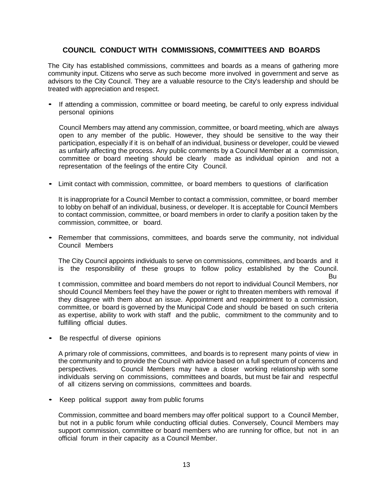#### **COUNCIL CONDUCT WITH COMMISSIONS, COMMITTEES AND BOARDS**

<span id="page-12-0"></span>The City has established commissions, committees and boards as a means of gathering more community input. Citizens who serve as such become more involved in government and serve as advisors to the City Council. They are a valuable resource to the City's leadership and should be treated with appreciation and respect.

If attending a commission, committee or board meeting, be careful to only express individual personal opinions

Council Members may attend any commission, committee, or board meeting, which are always open to any member of the public. However, they should be sensitive to the way their participation, especially if it is on behalf of an individual, business or developer, could be viewed as unfairly affecting the process. Any public comments by a Council Member at a commission, committee or board meeting should be clearly made as individual opinion and not a representation of the feelings of the entire City Council.

• Limit contact with commission, committee, or board members to questions of clarification

It is inappropriate for a Council Member to contact a commission, committee, or board member to lobby on behalf of an individual, business, or developer. It is acceptable for Council Members to contact commission, committee, or board members in order to clarify a position taken by the commission, committee, or board.

• Remember that commissions, committees, and boards serve the community, not individual Council Members

The City Council appoints individuals to serve on commissions, committees, and boards and it is the responsibility of these groups to follow policy established by the Council.

Bu

t commission, committee and board members do not report to individual Council Members, nor should Council Members feel they have the power or right to threaten members with removal if they disagree with them about an issue. Appointment and reappointment to a commission, committee, or board is governed by the Municipal Code and should be based on such criteria as expertise, ability to work with staff and the public, commitment to the community and to fulfilling official duties.

Be respectful of diverse opinions

A primary role of commissions, committees, and boards is to represent many points of view in the community and to provide the Council with advice based on a full spectrum of concerns and perspectives. Council Members may have a closer working relationship with some individuals serving on commissions, committees and boards, but must be fair and respectful of all citizens serving on commissions, committees and boards.

• Keep political support away from public forums

Commission, committee and board members may offer political support to a Council Member, but not in a public forum while conducting official duties. Conversely, Council Members may support commission, committee or board members who are running for office, but not in an official forum in their capacity as a Council Member.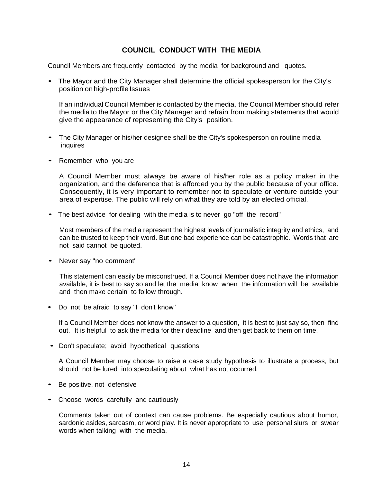#### **COUNCIL CONDUCT WITH THE MEDIA**

<span id="page-13-0"></span>Council Members are frequently contacted by the media for background and quotes.

• The Mayor and the City Manager shall determine the official spokesperson for the City's position on high-profile Issues

If an individual Council Member is contacted by the media, the Council Member should refer the media to the Mayor or the City Manager and refrain from making statements that would give the appearance of representing the City's position.

- The City Manager or his/her designee shall be the City's spokesperson on routine media inquires
- Remember who you are

A Council Member must always be aware of his/her role as a policy maker in the organization, and the deference that is afforded you by the public because of your office. Consequently, it is very important to remember not to speculate or venture outside your area of expertise. The public will rely on what they are told by an elected official.

• The best advice for dealing with the media is to never go "off the record"

Most members of the media represent the highest levels of journalistic integrity and ethics, and can be trusted to keep their word. But one bad experience can be catastrophic. Words that are not said cannot be quoted.

• Never say "no comment"

This statement can easily be misconstrued. If a Council Member does not have the information available, it is best to say so and let the media know when the information will be available and then make certain to follow through.

• Do not be afraid to say "I don't know"

If a Council Member does not know the answer to a question, it is best to just say so, then find out. It is helpful to ask the media for their deadline and then get back to them on time.

• Don't speculate; avoid hypothetical questions

A Council Member may choose to raise a case study hypothesis to illustrate a process, but should not be lured into speculating about what has not occurred.

- Be positive, not defensive
- Choose words carefully and cautiously

Comments taken out of context can cause problems. Be especially cautious about humor, sardonic asides, sarcasm, or word play. It is never appropriate to use personal slurs or swear words when talking with the media.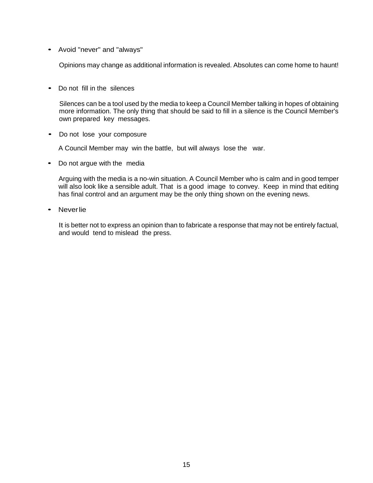• Avoid "never" and "always"

Opinions may change as additional information is revealed. Absolutes can come home to haunt!

• Do not fill in the silences

Silences can be a tool used by the media to keep a Council Member talking in hopes of obtaining more information. The only thing that should be said to fill in a silence is the Council Member's own prepared key messages.

• Do not lose your composure

A Council Member may win the battle, but will always lose the war.

• Do not argue with the media

Arguing with the media is a no-win situation. A Council Member who is calm and in good temper will also look like a sensible adult. That is a good image to convey. Keep in mind that editing has final control and an argument may be the only thing shown on the evening news.

• Neverlie

It is better not to express an opinion than to fabricate a response that may not be entirely factual, and would tend to mislead the press.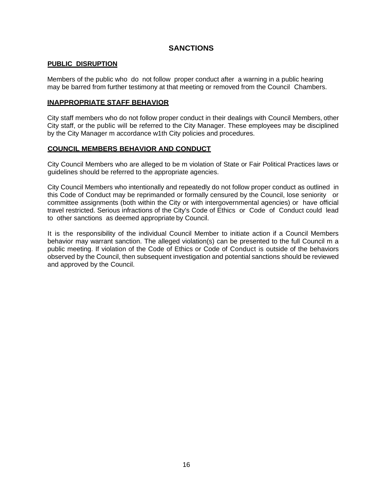#### **SANCTIONS**

#### <span id="page-15-1"></span><span id="page-15-0"></span>**PUBLIC DISRUPTION**

Members of the public who do not follow proper conduct after a warning in a public hearing may be barred from further testimony at that meeting or removed from the Council Chambers.

#### <span id="page-15-2"></span>**INAPPROPRIATE STAFF BEHAVIOR**

City staff members who do not follow proper conduct in their dealings with Council Members, other City staff, or the public will be referred to the City Manager. These employees may be disciplined by the City Manager m accordance w1th City policies and procedures.

#### <span id="page-15-3"></span>**COUNCIL MEMBERS BEHAVIOR AND CONDUCT**

City Council Members who are alleged to be m violation of State or Fair Political Practices laws or guidelines should be referred to the appropriate agencies.

City Council Members who intentionally and repeatedly do not follow proper conduct as outlined in this Code of Conduct may be reprimanded or formally censured by the Council, lose seniority or committee assignments (both within the City or with intergovernmental agencies) or have official travel restricted. Serious infractions of the City's Code of Ethics or Code of Conduct could lead to other sanctions as deemed appropriate by Council.

It is the responsibility of the individual Council Member to initiate action if a Council Members behavior may warrant sanction. The alleged violation(s) can be presented to the full Council m a public meeting. If violation of the Code of Ethics or Code of Conduct is outside of the behaviors observed by the Council, then subsequent investigation and potential sanctions should be reviewed and approved by the Council.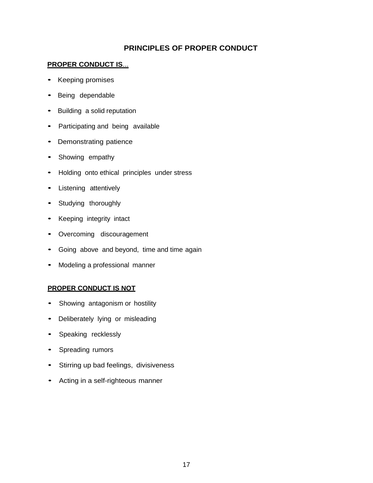#### **PRINCIPLES OF PROPER CONDUCT**

#### <span id="page-16-1"></span><span id="page-16-0"></span>**PROPER CONDUCT IS**...

- Keeping promises
- Being dependable
- Building a solid reputation
- Participating and being available
- Demonstrating patience
- Showing empathy
- Holding onto ethical principles under stress
- Listening attentively
- Studying thoroughly
- Keeping integrity intact
- Overcoming discouragement
- Going above and beyond, time and time again
- Modeling a professional manner

#### <span id="page-16-2"></span>**PROPER CONDUCT IS NOT**

- Showing antagonism or hostility
- Deliberately lying or misleading
- Speaking recklessly
- Spreading rumors
- Stirring up bad feelings, divisiveness
- Acting in a self-righteous manner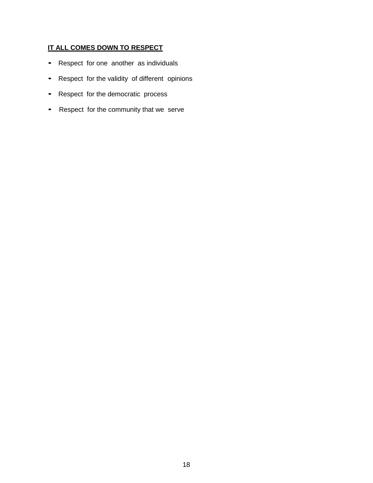#### <span id="page-17-0"></span>**IT ALL COMES DOWN TO RESPECT**

- Respect for one another as individuals
- Respect for the validity of different opinions
- Respect for the democratic process
- Respect for the community that we serve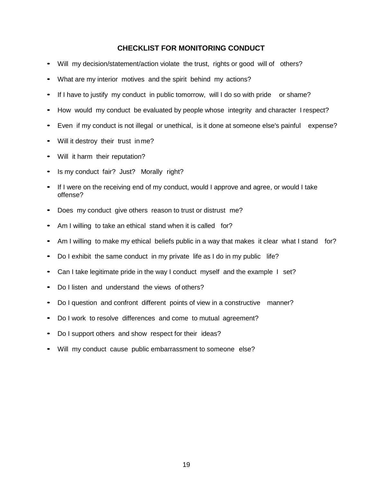#### **CHECKLIST FOR MONITORING CONDUCT**

- <span id="page-18-0"></span>Will my decision/statement/action violate the trust, rights or good will of others?
- What are my interior motives and the spirit behind my actions?
- If I have to justify my conduct in public tomorrow, will I do so with pride or shame?
- How would my conduct be evaluated by people whose integrity and character I respect?
- Even if my conduct is not illegal or unethical, is it done at someone else's painful expense?
- Will it destroy their trust in me?
- Will it harm their reputation?
- Is my conduct fair? Just? Morally right?
- If I were on the receiving end of my conduct, would I approve and agree, or would I take offense?
- Does my conduct give others reason to trust or distrust me?
- Am I willing to take an ethical stand when it is called for?
- Am I willing to make my ethical beliefs public in a way that makes it clear what I stand for?
- Do I exhibit the same conduct in my private life as I do in my public life?
- Can I take legitimate pride in the way I conduct myself and the example I set?
- Do I listen and understand the views of others?
- Do I question and confront different points of view in a constructive manner?
- Do I work to resolve differences and come to mutual agreement?
- Do I support others and show respect for their ideas?
- Will my conduct cause public embarrassment to someone else?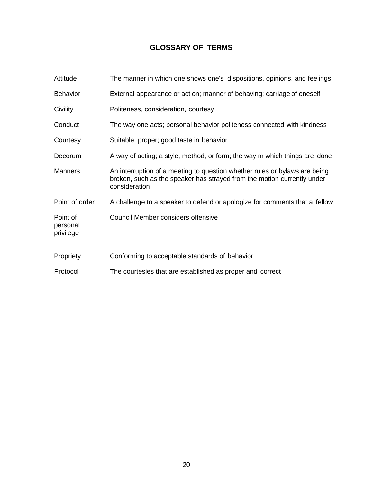#### **GLOSSARY OF TERMS**

<span id="page-19-0"></span>

| Attitude                          | The manner in which one shows one's dispositions, opinions, and feelings                                                                                               |
|-----------------------------------|------------------------------------------------------------------------------------------------------------------------------------------------------------------------|
| <b>Behavior</b>                   | External appearance or action; manner of behaving; carriage of oneself                                                                                                 |
| Civility                          | Politeness, consideration, courtesy                                                                                                                                    |
| Conduct                           | The way one acts; personal behavior politeness connected with kindness                                                                                                 |
| Courtesy                          | Suitable; proper; good taste in behavior                                                                                                                               |
| Decorum                           | A way of acting; a style, method, or form; the way m which things are done                                                                                             |
| <b>Manners</b>                    | An interruption of a meeting to question whether rules or bylaws are being<br>broken, such as the speaker has strayed from the motion currently under<br>consideration |
| Point of order                    | A challenge to a speaker to defend or apologize for comments that a fellow                                                                                             |
| Point of<br>personal<br>privilege | Council Member considers offensive                                                                                                                                     |
| Propriety                         | Conforming to acceptable standards of behavior                                                                                                                         |
| Protocol                          | The courtesies that are established as proper and correct                                                                                                              |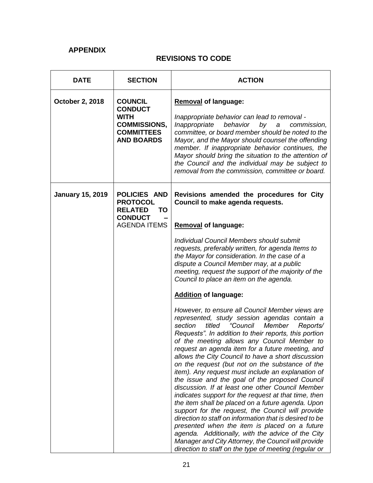#### **APPENDIX**

#### **REVISIONS TO CODE**

| <b>DATE</b>             | <b>SECTION</b>                                                                                                   | <b>ACTION</b>                                                                                                                                                                                                                                                                                                                                                                                                                                                                                                                                                                                                                                                                                                                                                                                                                                                                                                                                                                                                                                                                                                                                                                                                                                                                                                                                                                                                                                                                                     |
|-------------------------|------------------------------------------------------------------------------------------------------------------|---------------------------------------------------------------------------------------------------------------------------------------------------------------------------------------------------------------------------------------------------------------------------------------------------------------------------------------------------------------------------------------------------------------------------------------------------------------------------------------------------------------------------------------------------------------------------------------------------------------------------------------------------------------------------------------------------------------------------------------------------------------------------------------------------------------------------------------------------------------------------------------------------------------------------------------------------------------------------------------------------------------------------------------------------------------------------------------------------------------------------------------------------------------------------------------------------------------------------------------------------------------------------------------------------------------------------------------------------------------------------------------------------------------------------------------------------------------------------------------------------|
| <b>October 2, 2018</b>  | <b>COUNCIL</b><br><b>CONDUCT</b><br><b>WITH</b><br><b>COMMISSIONS,</b><br><b>COMMITTEES</b><br><b>AND BOARDS</b> | <b>Removal of language:</b><br>Inappropriate behavior can lead to removal -<br>Inappropriate<br>behavior<br>by<br>commission,<br>$\boldsymbol{a}$<br>committee, or board member should be noted to the<br>Mayor, and the Mayor should counsel the offending<br>member. If inappropriate behavior continues, the<br>Mayor should bring the situation to the attention of<br>the Council and the individual may be subject to<br>removal from the commission, committee or board.                                                                                                                                                                                                                                                                                                                                                                                                                                                                                                                                                                                                                                                                                                                                                                                                                                                                                                                                                                                                                   |
| <b>January 15, 2019</b> | POLICIES AND<br><b>PROTOCOL</b><br><b>RELATED</b><br><b>TO</b><br><b>CONDUCT</b><br><b>AGENDA ITEMS</b>          | Revisions amended the procedures for City<br>Council to make agenda requests.<br><b>Removal of language:</b><br><b>Individual Council Members should submit</b><br>requests, preferably written, for agenda Items to<br>the Mayor for consideration. In the case of a<br>dispute a Council Member may, at a public<br>meeting, request the support of the majority of the<br>Council to place an item on the agenda.<br><b>Addition of language:</b><br>However, to ensure all Council Member views are<br>represented, study session agendas contain a<br>"Council<br>Member<br>section<br>titled<br>Reports/<br>Requests". In addition to their reports, this portion<br>of the meeting allows any Council Member to<br>request an agenda item for a future meeting, and<br>allows the City Council to have a short discussion<br>on the request (but not on the substance of the<br>item). Any request must include an explanation of<br>the issue and the goal of the proposed Council<br>discussion. If at least one other Council Member<br>indicates support for the request at that time, then<br>the item shall be placed on a future agenda. Upon<br>support for the request, the Council will provide<br>direction to staff on information that is desired to be<br>presented when the item is placed on a future<br>agenda. Additionally, with the advice of the City<br>Manager and City Attorney, the Council will provide<br>direction to staff on the type of meeting (regular or |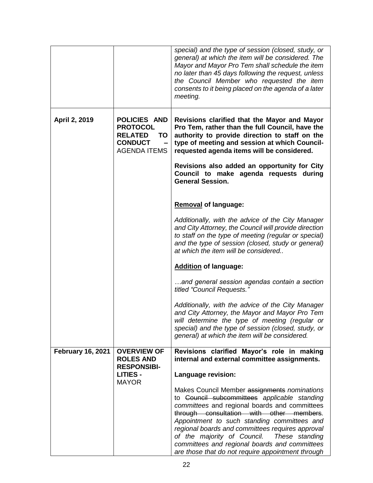|                          |                                                                                                         | special) and the type of session (closed, study, or<br>general) at which the item will be considered. The<br>Mayor and Mayor Pro Tem shall schedule the item<br>no later than 45 days following the request, unless<br>the Council Member who requested the item<br>consents to it being placed on the agenda of a later<br>meeting.                                                                                                                                                                                                                                                                                                                                             |
|--------------------------|---------------------------------------------------------------------------------------------------------|----------------------------------------------------------------------------------------------------------------------------------------------------------------------------------------------------------------------------------------------------------------------------------------------------------------------------------------------------------------------------------------------------------------------------------------------------------------------------------------------------------------------------------------------------------------------------------------------------------------------------------------------------------------------------------|
| April 2, 2019            | <b>POLICIES AND</b><br><b>PROTOCOL</b><br><b>RELATED</b><br>TO<br><b>CONDUCT</b><br><b>AGENDA ITEMS</b> | Revisions clarified that the Mayor and Mayor<br>Pro Tem, rather than the full Council, have the<br>authority to provide direction to staff on the<br>type of meeting and session at which Council-<br>requested agenda items will be considered.<br>Revisions also added an opportunity for City<br>Council to make agenda requests during<br><b>General Session.</b>                                                                                                                                                                                                                                                                                                            |
|                          |                                                                                                         | <b>Removal of language:</b><br>Additionally, with the advice of the City Manager<br>and City Attorney, the Council will provide direction<br>to staff on the type of meeting (regular or special)<br>and the type of session (closed, study or general)<br>at which the item will be considered<br><b>Addition of language:</b><br>and general session agendas contain a section<br>titled "Council Requests."<br>Additionally, with the advice of the City Manager<br>and City Attorney, the Mayor and Mayor Pro Tem<br>will determine the type of meeting (regular or<br>special) and the type of session (closed, study, or<br>general) at which the item will be considered. |
| <b>February 16, 2021</b> | <b>OVERVIEW OF</b><br><b>ROLES AND</b><br><b>RESPONSIBI-</b><br><b>LITIES -</b><br><b>MAYOR</b>         | Revisions clarified Mayor's role in making<br>internal and external committee assignments.<br>Language revision:<br>Makes Council Member assignments nominations<br>to Council subcommittees applicable standing<br>committees and regional boards and committees<br>through consultation with other members.<br>Appointment to such standing committees and<br>regional boards and committees requires approval<br>of the majority of Council.<br>These standing<br>committees and regional boards and committees<br>are those that do not require appointment through                                                                                                          |